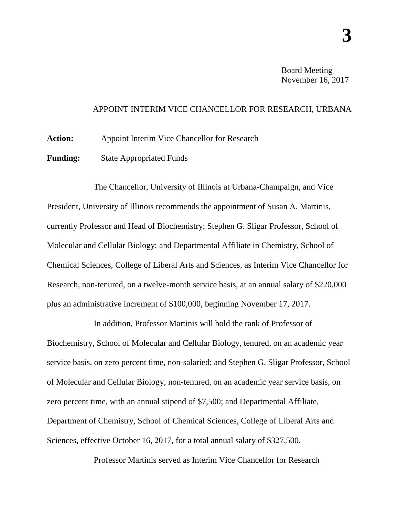Board Meeting November 16, 2017

## APPOINT INTERIM VICE CHANCELLOR FOR RESEARCH, URBANA

Action: Appoint Interim Vice Chancellor for Research

**Funding:** State Appropriated Funds

The Chancellor, University of Illinois at Urbana-Champaign, and Vice President, University of Illinois recommends the appointment of Susan A. Martinis, currently Professor and Head of Biochemistry; Stephen G. Sligar Professor, School of Molecular and Cellular Biology; and Departmental Affiliate in Chemistry, School of Chemical Sciences, College of Liberal Arts and Sciences, as Interim Vice Chancellor for Research, non-tenured, on a twelve-month service basis, at an annual salary of \$220,000 plus an administrative increment of \$100,000, beginning November 17, 2017.

In addition, Professor Martinis will hold the rank of Professor of Biochemistry, School of Molecular and Cellular Biology, tenured, on an academic year service basis, on zero percent time, non-salaried; and Stephen G. Sligar Professor, School of Molecular and Cellular Biology, non-tenured, on an academic year service basis, on zero percent time, with an annual stipend of \$7,500; and Departmental Affiliate, Department of Chemistry, School of Chemical Sciences, College of Liberal Arts and Sciences, effective October 16, 2017, for a total annual salary of \$327,500.

Professor Martinis served as Interim Vice Chancellor for Research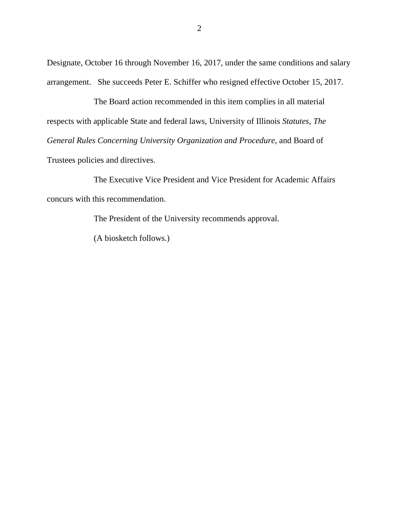Designate, October 16 through November 16, 2017, under the same conditions and salary arrangement. She succeeds Peter E. Schiffer who resigned effective October 15, 2017.

The Board action recommended in this item complies in all material respects with applicable State and federal laws, University of Illinois *Statutes*, *The General Rules Concerning University Organization and Procedure*, and Board of Trustees policies and directives.

The Executive Vice President and Vice President for Academic Affairs concurs with this recommendation.

The President of the University recommends approval.

(A biosketch follows.)